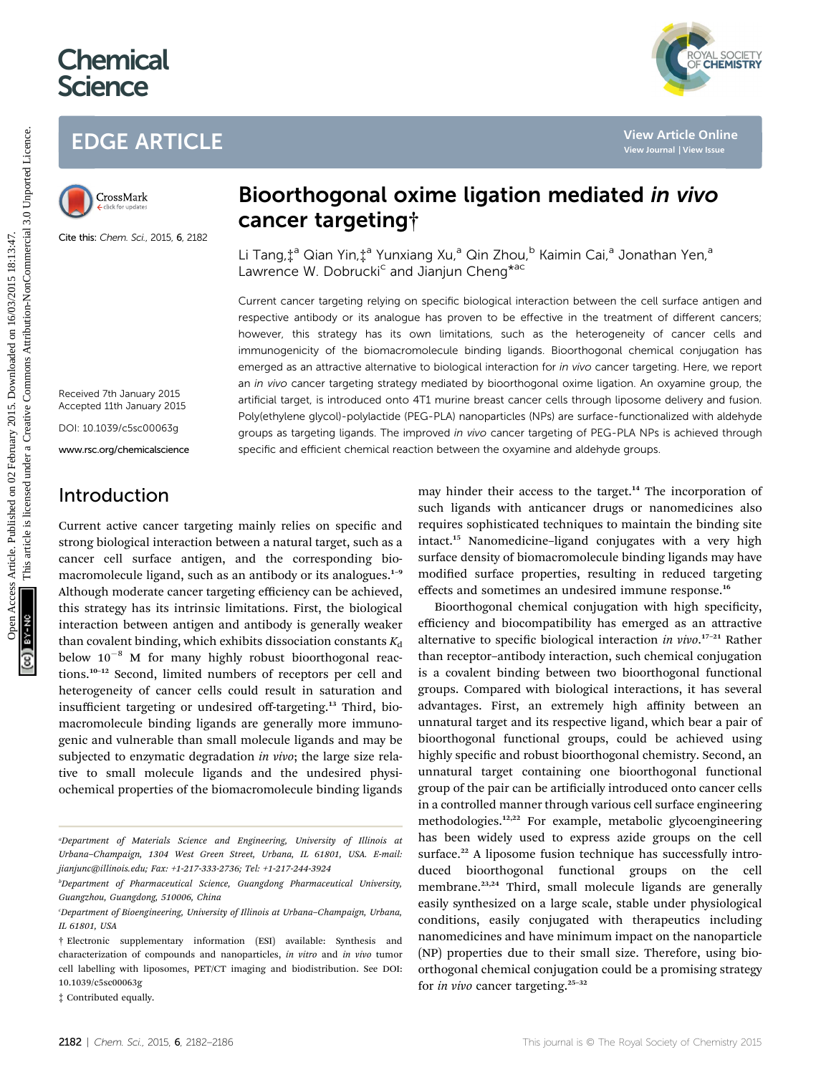# **Chemical Science**





Cite this: Chem. Sci., 2015, 6, 2182

## Bioorthogonal oxime ligation mediated in vivo cancer targeting†

Li Tang,  $\ddagger$ <sup>a</sup> Qian Yin,  $\ddagger$ <sup>a</sup> Yunxiang Xu,<sup>a</sup> Qin Zhou,<sup>b</sup> Kaimin Cai,<sup>a</sup> Jonathan Yen,<sup>a</sup> Lawrence W. Dobrucki<sup>c</sup> and Jianjun Cheng<sup>\*ac</sup>

Current cancer targeting relying on specific biological interaction between the cell surface antigen and respective antibody or its analogue has proven to be effective in the treatment of different cancers; however, this strategy has its own limitations, such as the heterogeneity of cancer cells and immunogenicity of the biomacromolecule binding ligands. Bioorthogonal chemical conjugation has emerged as an attractive alternative to biological interaction for in vivo cancer targeting. Here, we report an in vivo cancer targeting strategy mediated by bioorthogonal oxime ligation. An oxyamine group, the artificial target, is introduced onto 4T1 murine breast cancer cells through liposome delivery and fusion. Poly(ethylene glycol)-polylactide (PEG-PLA) nanoparticles (NPs) are surface-functionalized with aldehyde groups as targeting ligands. The improved in vivo cancer targeting of PEG-PLA NPs is achieved through specific and efficient chemical reaction between the oxyamine and aldehyde groups. **EDGE ARTICLE**<br>
Strengthende **Bioorthogonal oxime ligation mediated** *in vivo***<br>
Strengthend Constants<br>
Strengthend Constants<br>
Strengthend Constants<br>
Strengthend Constants<br>
Strengthend Constants<br>
Strengthend Constants and C** 

Received 7th January 2015 Accepted 11th January 2015

DOI: 10.1039/c5sc00063g

www.rsc.org/chemicalscience

### Introduction

Current active cancer targeting mainly relies on specific and strong biological interaction between a natural target, such as a cancer cell surface antigen, and the corresponding biomacromolecule ligand, such as an antibody or its analogues.<sup>1-9</sup> Although moderate cancer targeting efficiency can be achieved, this strategy has its intrinsic limitations. First, the biological interaction between antigen and antibody is generally weaker than covalent binding, which exhibits dissociation constants  $K_d$ below  $10^{-8}$  M for many highly robust bioorthogonal reactions.<sup>10</sup>–<sup>12</sup> Second, limited numbers of receptors per cell and heterogeneity of cancer cells could result in saturation and insufficient targeting or undesired off-targeting.<sup>13</sup> Third, biomacromolecule binding ligands are generally more immunogenic and vulnerable than small molecule ligands and may be subjected to enzymatic degradation in vivo; the large size relative to small molecule ligands and the undesired physiochemical properties of the biomacromolecule binding ligands

‡ Contributed equally.

may hinder their access to the target.<sup>14</sup> The incorporation of such ligands with anticancer drugs or nanomedicines also requires sophisticated techniques to maintain the binding site intact.<sup>15</sup> Nanomedicine–ligand conjugates with a very high surface density of biomacromolecule binding ligands may have modified surface properties, resulting in reduced targeting effects and sometimes an undesired immune response.<sup>16</sup>

Bioorthogonal chemical conjugation with high specificity, efficiency and biocompatibility has emerged as an attractive alternative to specific biological interaction in vivo.<sup>17-21</sup> Rather than receptor–antibody interaction, such chemical conjugation is a covalent binding between two bioorthogonal functional groups. Compared with biological interactions, it has several advantages. First, an extremely high affinity between an unnatural target and its respective ligand, which bear a pair of bioorthogonal functional groups, could be achieved using highly specific and robust bioorthogonal chemistry. Second, an unnatural target containing one bioorthogonal functional group of the pair can be articially introduced onto cancer cells in a controlled manner through various cell surface engineering methodologies.12,22 For example, metabolic glycoengineering has been widely used to express azide groups on the cell surface.<sup>22</sup> A liposome fusion technique has successfully introduced bioorthogonal functional groups on the cell membrane.<sup>23,24</sup> Third, small molecule ligands are generally easily synthesized on a large scale, stable under physiological conditions, easily conjugated with therapeutics including nanomedicines and have minimum impact on the nanoparticle (NP) properties due to their small size. Therefore, using bioorthogonal chemical conjugation could be a promising strategy for in vivo cancer targeting.<sup>25</sup>–<sup>32</sup>

a Department of Materials Science and Engineering, University of Illinois at Urbana–Champaign, 1304 West Green Street, Urbana, IL 61801, USA. E-mail: jianjunc@illinois.edu; Fax: +1-217-333-2736; Tel: +1-217-244-3924

b Department of Pharmaceutical Science, Guangdong Pharmaceutical University, Guangzhou, Guangdong, 510006, China

c Department of Bioengineering, University of Illinois at Urbana–Champaign, Urbana, IL 61801, USA

<sup>†</sup> Electronic supplementary information (ESI) available: Synthesis and characterization of compounds and nanoparticles, in vitro and in vivo tumor cell labelling with liposomes, PET/CT imaging and biodistribution. See DOI: 10.1039/c5sc00063g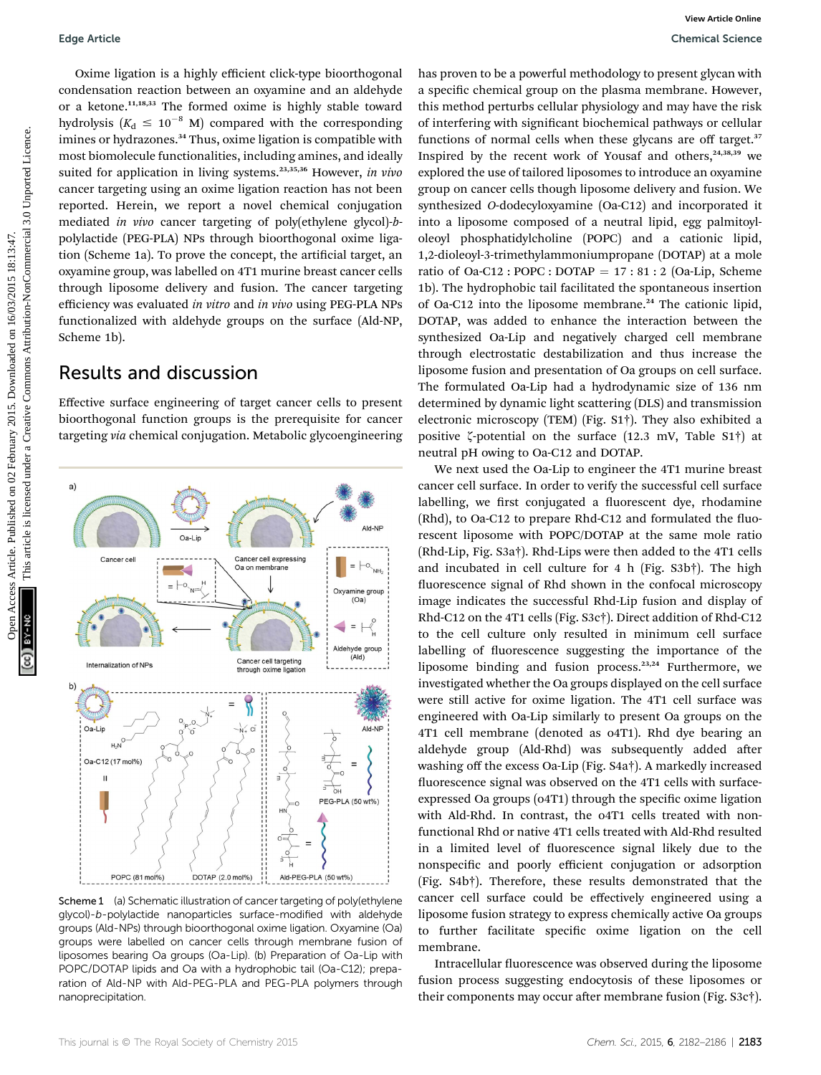Oxime ligation is a highly efficient click-type bioorthogonal condensation reaction between an oxyamine and an aldehyde or a ketone.<sup>11,18,33</sup> The formed oxime is highly stable toward hydrolysis  $(K_d \leq 10^{-8} \text{ M})$  compared with the corresponding imines or hydrazones.<sup>34</sup> Thus, oxime ligation is compatible with most biomolecule functionalities, including amines, and ideally suited for application in living systems.<sup>23,35,36</sup> However, in vivo cancer targeting using an oxime ligation reaction has not been reported. Herein, we report a novel chemical conjugation mediated in vivo cancer targeting of poly(ethylene glycol)-bpolylactide (PEG-PLA) NPs through bioorthogonal oxime ligation (Scheme 1a). To prove the concept, the artificial target, an oxyamine group, was labelled on 4T1 murine breast cancer cells through liposome delivery and fusion. The cancer targeting efficiency was evaluated in vitro and in vivo using PEG-PLA NPs functionalized with aldehyde groups on the surface (Ald-NP, Scheme 1b).

### Results and discussion

Effective surface engineering of target cancer cells to present bioorthogonal function groups is the prerequisite for cancer targeting via chemical conjugation. Metabolic glycoengineering



Scheme 1 (a) Schematic illustration of cancer targeting of poly(ethylene glycol)-b-polylactide nanoparticles surface-modified with aldehyde groups (Ald-NPs) through bioorthogonal oxime ligation. Oxyamine (Oa) groups were labelled on cancer cells through membrane fusion of liposomes bearing Oa groups (Oa-Lip). (b) Preparation of Oa-Lip with POPC/DOTAP lipids and Oa with a hydrophobic tail (Oa-C12); preparation of Ald-NP with Ald-PEG-PLA and PEG-PLA polymers through nanoprecipitation.

has proven to be a powerful methodology to present glycan with a specific chemical group on the plasma membrane. However, this method perturbs cellular physiology and may have the risk of interfering with significant biochemical pathways or cellular functions of normal cells when these glycans are off target.<sup>37</sup> Inspired by the recent work of Yousaf and others, $24,38,39$  we explored the use of tailored liposomes to introduce an oxyamine group on cancer cells though liposome delivery and fusion. We synthesized O-dodecyloxyamine (Oa-C12) and incorporated it into a liposome composed of a neutral lipid, egg palmitoyloleoyl phosphatidylcholine (POPC) and a cationic lipid, 1,2-dioleoyl-3-trimethylammoniumpropane (DOTAP) at a mole ratio of Oa-C12 : POPC : DOTAP =  $17:81:2$  (Oa-Lip, Scheme 1b). The hydrophobic tail facilitated the spontaneous insertion of Oa-C12 into the liposome membrane.<sup>24</sup> The cationic lipid, DOTAP, was added to enhance the interaction between the synthesized Oa-Lip and negatively charged cell membrane through electrostatic destabilization and thus increase the liposome fusion and presentation of Oa groups on cell surface. The formulated Oa-Lip had a hydrodynamic size of 136 nm determined by dynamic light scattering (DLS) and transmission electronic microscopy (TEM) (Fig. S1†). They also exhibited a positive  $\zeta$ -potential on the surface (12.3 mV, Table S1†) at neutral pH owing to Oa-C12 and DOTAP. Coperation is a highly stilcent click-type bioothogonal has proven to be a poerella distincent common common the properties are common common to the creative common common the common common common common common common comm

We next used the Oa-Lip to engineer the 4T1 murine breast cancer cell surface. In order to verify the successful cell surface labelling, we first conjugated a fluorescent dye, rhodamine  $(Rhd)$ , to Oa-C12 to prepare Rhd-C12 and formulated the fluorescent liposome with POPC/DOTAP at the same mole ratio (Rhd-Lip, Fig. S3a†). Rhd-Lips were then added to the 4T1 cells and incubated in cell culture for 4 h (Fig. S3b†). The high fluorescence signal of Rhd shown in the confocal microscopy image indicates the successful Rhd-Lip fusion and display of Rhd-C12 on the 4T1 cells (Fig. S3c†). Direct addition of Rhd-C12 to the cell culture only resulted in minimum cell surface labelling of fluorescence suggesting the importance of the liposome binding and fusion process.<sup>23,24</sup> Furthermore, we investigated whether the Oa groups displayed on the cell surface were still active for oxime ligation. The 4T1 cell surface was engineered with Oa-Lip similarly to present Oa groups on the 4T1 cell membrane (denoted as o4T1). Rhd dye bearing an aldehyde group (Ald-Rhd) was subsequently added after washing off the excess Oa-Lip (Fig. S4a†). A markedly increased fluorescence signal was observed on the 4T1 cells with surfaceexpressed Oa groups (04T1) through the specific oxime ligation with Ald-Rhd. In contrast, the o4T1 cells treated with nonfunctional Rhd or native 4T1 cells treated with Ald-Rhd resulted in a limited level of fluorescence signal likely due to the nonspecific and poorly efficient conjugation or adsorption (Fig. S4b†). Therefore, these results demonstrated that the cancer cell surface could be effectively engineered using a liposome fusion strategy to express chemically active Oa groups to further facilitate specific oxime ligation on the cell membrane.

Intracellular fluorescence was observed during the liposome fusion process suggesting endocytosis of these liposomes or their components may occur after membrane fusion (Fig. S3c†).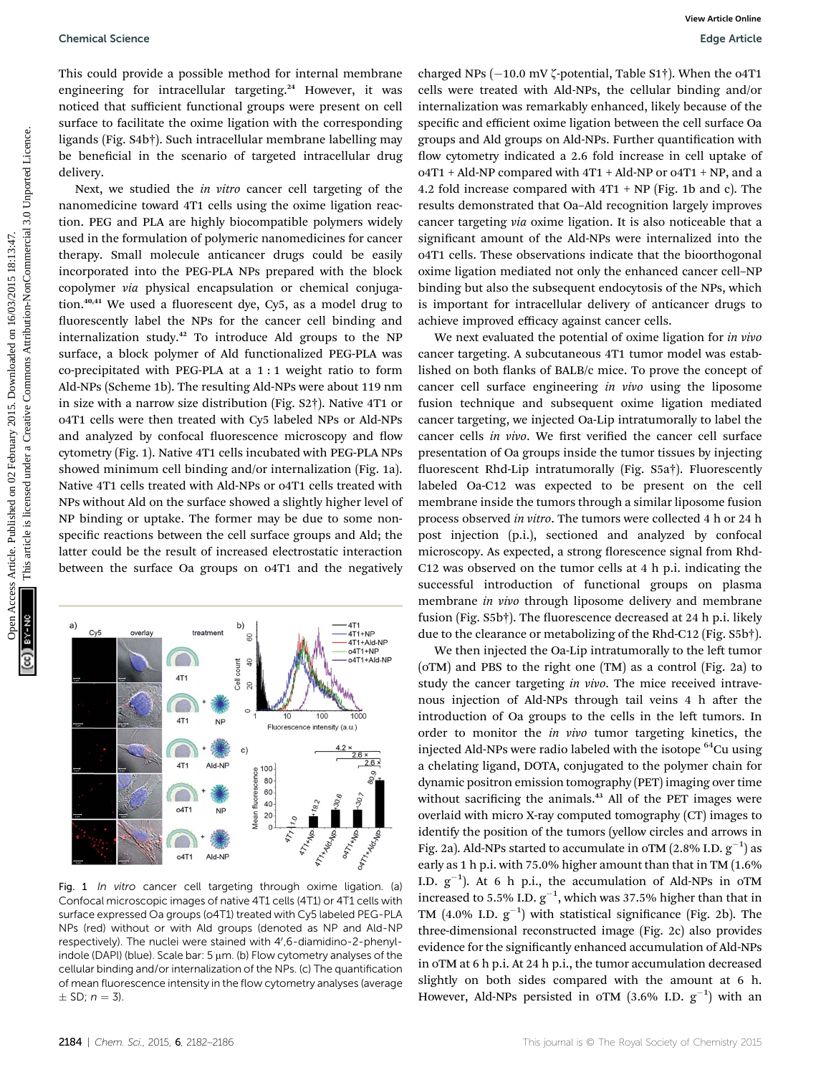#### Chemical Science Edge Article

This could provide a possible method for internal membrane engineering for intracellular targeting.<sup>24</sup> However, it was noticed that sufficient functional groups were present on cell surface to facilitate the oxime ligation with the corresponding ligands (Fig. S4b†). Such intracellular membrane labelling may be beneficial in the scenario of targeted intracellular drug delivery.

Next, we studied the in vitro cancer cell targeting of the nanomedicine toward 4T1 cells using the oxime ligation reaction. PEG and PLA are highly biocompatible polymers widely used in the formulation of polymeric nanomedicines for cancer therapy. Small molecule anticancer drugs could be easily incorporated into the PEG-PLA NPs prepared with the block copolymer via physical encapsulation or chemical conjugation. $40,41$  We used a fluorescent dye, Cy5, as a model drug to fluorescently label the NPs for the cancer cell binding and internalization study.<sup>42</sup> To introduce Ald groups to the NP surface, a block polymer of Ald functionalized PEG-PLA was co-precipitated with PEG-PLA at a 1 : 1 weight ratio to form Ald-NPs (Scheme 1b). The resulting Ald-NPs were about 119 nm in size with a narrow size distribution (Fig. S2†). Native 4T1 or o4T1 cells were then treated with Cy5 labeled NPs or Ald-NPs and analyzed by confocal fluorescence microscopy and flow cytometry (Fig. 1). Native 4T1 cells incubated with PEG-PLA NPs showed minimum cell binding and/or internalization (Fig. 1a). Native 4T1 cells treated with Ald-NPs or o4T1 cells treated with NPs without Ald on the surface showed a slightly higher level of NP binding or uptake. The former may be due to some nonspecific reactions between the cell surface groups and Ald; the latter could be the result of increased electrostatic interaction between the surface Oa groups on o4T1 and the negatively Openies Science<br>
This could provide a possible method for internal members it was cellular to the solution-the article is liken the corresponding appearing the different on the solution-the common of the secure is liken t

**47THIS ATTA MOLTON** ORTTHING **ORTITLE** o4T Ald-NF Fig. 1 In vitro cancer cell targeting through oxime ligation. (a) Confocal microscopic images of native 4T1 cells (4T1) or 4T1 cells with surface expressed Oa groups (o4T1) treated with Cy5 labeled PEG-PLA NPs (red) without or with Ald groups (denoted as NP and Ald-NP respectively). The nuclei were stained with 4',6-diamidino-2-phenylindole (DAPI) (blue). Scale bar:  $5 \mu m$ . (b) Flow cytometry analyses of the cellular binding and/or internalization of the NPs. (c) The quantification of mean fluorescence intensity in the flow cytometry analyses (average

 $\overline{a}$ Cell count

 $\infty$  $\circ$ 

 $\mathbf{c}$ 

100

 $40<sup>1</sup>$ 

20  $\Omega$ 

Mean fluorescence 80 60

**NP** 

Ald-NF

**NF** 

 $10$ 

Fluorescence

 $47$ 

100

intensity (a.u.)

 $\Box$ 

4T1

4T1

 $4T1$ 

 $\sqrt{2}$ 

o<sub>4</sub>T<sub>1</sub>

 $n4T1+NP$ o411+Nid-NF

1000

charged NPs  $(-10.0 \text{ mV } \zeta$ -potential, Table S1†). When the o4T1 cells were treated with Ald-NPs, the cellular binding and/or internalization was remarkably enhanced, likely because of the specific and efficient oxime ligation between the cell surface Oa groups and Ald groups on Ald-NPs. Further quantification with flow cytometry indicated a 2.6 fold increase in cell uptake of o4T1 + Ald-NP compared with 4T1 + Ald-NP or o4T1 + NP, and a 4.2 fold increase compared with  $4T1 + NP$  (Fig. 1b and c). The results demonstrated that Oa–Ald recognition largely improves cancer targeting via oxime ligation. It is also noticeable that a significant amount of the Ald-NPs were internalized into the o4T1 cells. These observations indicate that the bioorthogonal oxime ligation mediated not only the enhanced cancer cell–NP binding but also the subsequent endocytosis of the NPs, which is important for intracellular delivery of anticancer drugs to achieve improved efficacy against cancer cells.

We next evaluated the potential of oxime ligation for *in vivo* cancer targeting. A subcutaneous 4T1 tumor model was established on both flanks of BALB/c mice. To prove the concept of cancer cell surface engineering in vivo using the liposome fusion technique and subsequent oxime ligation mediated cancer targeting, we injected Oa-Lip intratumorally to label the cancer cells in vivo. We first verified the cancer cell surface presentation of Oa groups inside the tumor tissues by injecting fluorescent Rhd-Lip intratumorally (Fig. S5a†). Fluorescently labeled Oa-C12 was expected to be present on the cell membrane inside the tumors through a similar liposome fusion process observed in vitro. The tumors were collected 4 h or 24 h post injection (p.i.), sectioned and analyzed by confocal microscopy. As expected, a strong florescence signal from Rhd-C12 was observed on the tumor cells at 4 h p.i. indicating the successful introduction of functional groups on plasma membrane *in vivo* through liposome delivery and membrane fusion (Fig. S5b†). The fluorescence decreased at 24 h p.i. likely due to the clearance or metabolizing of the Rhd-C12 (Fig. S5b†).

We then injected the Oa-Lip intratumorally to the left tumor (oTM) and PBS to the right one (TM) as a control (Fig. 2a) to study the cancer targeting in vivo. The mice received intravenous injection of Ald-NPs through tail veins 4 h after the introduction of Oa groups to the cells in the left tumors. In order to monitor the in vivo tumor targeting kinetics, the injected Ald-NPs were radio labeled with the isotope  ${}^{64}$ Cu using a chelating ligand, DOTA, conjugated to the polymer chain for dynamic positron emission tomography (PET) imaging over time without sacrificing the animals.<sup>43</sup> All of the PET images were overlaid with micro X-ray computed tomography (CT) images to identify the position of the tumors (yellow circles and arrows in Fig. 2a). Ald-NPs started to accumulate in oTM  $(2.8\%$  I.D.  $g^{-1})$  as early as 1 h p.i. with 75.0% higher amount than that in TM (1.6% I.D.  $g^{-1}$ ). At 6 h p.i., the accumulation of Ald-NPs in oTM increased to 5.5% I.D.  $g^{-1}$ , which was 37.5% higher than that in TM  $(4.0\%$  I.D.  $g^{-1}$ ) with statistical significance (Fig. 2b). The three-dimensional reconstructed image (Fig. 2c) also provides evidence for the significantly enhanced accumulation of Ald-NPs in oTM at 6 h p.i. At 24 h p.i., the tumor accumulation decreased slightly on both sides compared with the amount at 6 h. However, Ald-NPs persisted in oTM  $(3.6\%$  I.D.  $g^{-1})$  with an

 $\pm$  SD;  $n = 3$ ).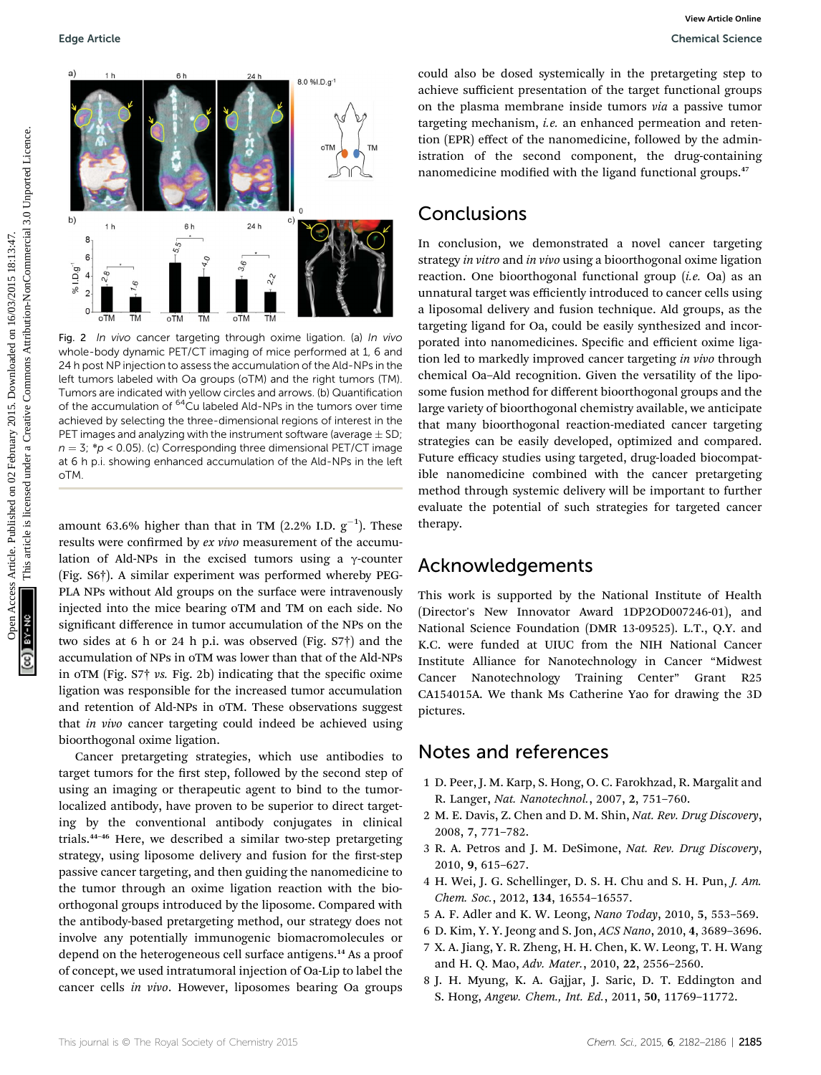

Fig. 2 In vivo cancer targeting through oxime ligation. (a) In vivo whole-body dynamic PET/CT imaging of mice performed at 1, 6 and 24 h post NP injection to assess the accumulation of the Ald-NPs in the left tumors labeled with Oa groups (oTM) and the right tumors (TM). Tumors are indicated with yellow circles and arrows. (b) Quantification of the accumulation of <sup>64</sup>Cu labeled Ald-NPs in the tumors over time achieved by selecting the three-dimensional regions of interest in the PET images and analyzing with the instrument software (average  $\pm$  SD;  $n = 3$ ; \*p < 0.05). (c) Corresponding three dimensional PET/CT image at 6 h p.i. showing enhanced accumulation of the Ald-NPs in the left oTM.

amount 63.6% higher than that in TM (2.2% I.D.  $\rm g^{-1}$ ). These results were confirmed by ex vivo measurement of the accumulation of Ald-NPs in the excised tumors using a  $\gamma$ -counter (Fig. S6†). A similar experiment was performed whereby PEG-PLA NPs without Ald groups on the surface were intravenously injected into the mice bearing oTM and TM on each side. No significant difference in tumor accumulation of the NPs on the two sides at 6 h or 24 h p.i. was observed (Fig. S7†) and the accumulation of NPs in oTM was lower than that of the Ald-NPs in oTM (Fig.  $S7$ † vs. Fig. 2b) indicating that the specific oxime ligation was responsible for the increased tumor accumulation and retention of Ald-NPs in oTM. These observations suggest that in vivo cancer targeting could indeed be achieved using bioorthogonal oxime ligation.

Cancer pretargeting strategies, which use antibodies to target tumors for the first step, followed by the second step of using an imaging or therapeutic agent to bind to the tumorlocalized antibody, have proven to be superior to direct targeting by the conventional antibody conjugates in clinical trials.<sup>44</sup>–<sup>46</sup> Here, we described a similar two-step pretargeting strategy, using liposome delivery and fusion for the first-step passive cancer targeting, and then guiding the nanomedicine to the tumor through an oxime ligation reaction with the bioorthogonal groups introduced by the liposome. Compared with the antibody-based pretargeting method, our strategy does not involve any potentially immunogenic biomacromolecules or depend on the heterogeneous cell surface antigens.<sup>14</sup> As a proof of concept, we used intratumoral injection of Oa-Lip to label the cancer cells in vivo. However, liposomes bearing Oa groups

could also be dosed systemically in the pretargeting step to achieve sufficient presentation of the target functional groups on the plasma membrane inside tumors via a passive tumor targeting mechanism, *i.e.* an enhanced permeation and retention (EPR) effect of the nanomedicine, followed by the administration of the second component, the drug-containing nanomedicine modified with the ligand functional groups.<sup>47</sup>

### Conclusions

In conclusion, we demonstrated a novel cancer targeting strategy in vitro and in vivo using a bioorthogonal oxime ligation reaction. One bioorthogonal functional group (i.e. Oa) as an unnatural target was efficiently introduced to cancer cells using a liposomal delivery and fusion technique. Ald groups, as the targeting ligand for Oa, could be easily synthesized and incorporated into nanomedicines. Specific and efficient oxime ligation led to markedly improved cancer targeting in vivo through chemical Oa–Ald recognition. Given the versatility of the liposome fusion method for different bioorthogonal groups and the large variety of bioorthogonal chemistry available, we anticipate that many bioorthogonal reaction-mediated cancer targeting strategies can be easily developed, optimized and compared. Future efficacy studies using targeted, drug-loaded biocompatible nanomedicine combined with the cancer pretargeting method through systemic delivery will be important to further evaluate the potential of such strategies for targeted cancer therapy.

### Acknowledgements

This work is supported by the National Institute of Health (Director's New Innovator Award 1DP2OD007246-01), and National Science Foundation (DMR 13-09525). L.T., Q.Y. and K.C. were funded at UIUC from the NIH National Cancer Institute Alliance for Nanotechnology in Cancer "Midwest Cancer Nanotechnology Training Center" Grant R25 CA154015A. We thank Ms Catherine Yao for drawing the 3D pictures.

### Notes and references

- 1 D. Peer, J. M. Karp, S. Hong, O. C. Farokhzad, R. Margalit and R. Langer, Nat. Nanotechnol., 2007, 2, 751–760.
- 2 M. E. Davis, Z. Chen and D. M. Shin, Nat. Rev. Drug Discovery, 2008, 7, 771–782.
- 3 R. A. Petros and J. M. DeSimone, Nat. Rev. Drug Discovery, 2010, 9, 615–627.
- 4 H. Wei, J. G. Schellinger, D. S. H. Chu and S. H. Pun, J. Am. Chem. Soc., 2012, 134, 16554–16557.
- 5 A. F. Adler and K. W. Leong, Nano Today, 2010, 5, 553–569.
- 6 D. Kim, Y. Y. Jeong and S. Jon, ACS Nano, 2010, 4, 3689–3696.
- 7 X. A. Jiang, Y. R. Zheng, H. H. Chen, K. W. Leong, T. H. Wang and H. Q. Mao, Adv. Mater., 2010, 22, 2556–2560.
- 8 J. H. Myung, K. A. Gajjar, J. Saric, D. T. Eddington and S. Hong, Angew. Chem., Int. Ed., 2011, 50, 11769–11772.